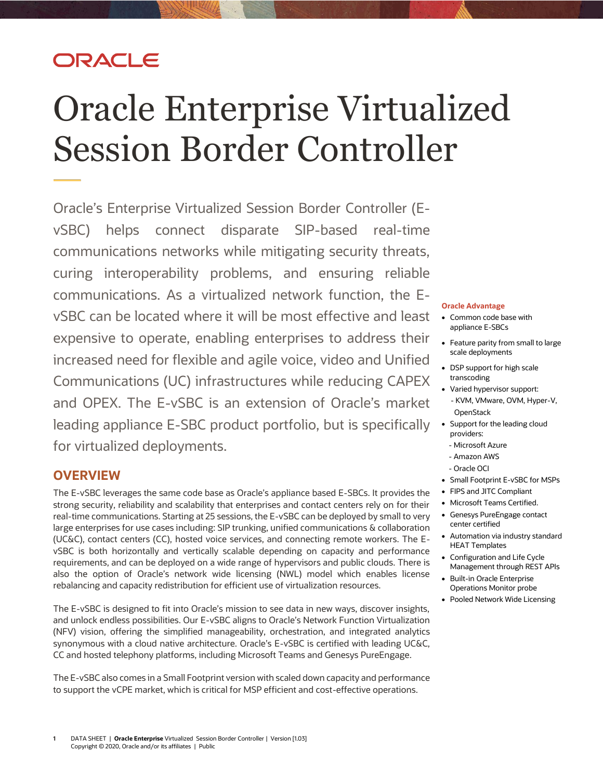## ORACLE

# Oracle Enterprise Virtualized Session Border Controller

Oracle's Enterprise Virtualized Session Border Controller (EvSBC) helps connect disparate SIP-based real-time communications networks while mitigating security threats, curing interoperability problems, and ensuring reliable communications. As a virtualized network function, the EvSBC can be located where it will be most effective and least expensive to operate, enabling enterprises to address their increased need for flexible and agile voice, video and Unified Communications (UC) infrastructures while reducing CAPEX and OPEX. The E-vSBC is an extension of Oracle's market leading appliance E-SBC product portfolio, but is specifically for virtualized deployments.

## **OVERVIEW**

The E-vSBC leverages the same code base as Oracle's appliance based E-SBCs. It provides the strong security, reliability and scalability that enterprises and contact centers rely on for their real-time communications. Starting at 25 sessions, the E-vSBC can be deployed by small to very large enterprises for use cases including: SIP trunking, unified communications & collaboration (UC&C), contact centers (CC), hosted voice services, and connecting remote workers. The EvSBC is both horizontally and vertically scalable depending on capacity and performance requirements, and can be deployed on a wide range of hypervisors and public clouds. There is also the option of Oracle's network wide licensing (NWL) model which enables license rebalancing and capacity redistribution for efficient use of virtualization resources.

The E-vSBC is designed to fit into Oracle's mission to see data in new ways, discover insights, and unlock endless possibilities. Our E-vSBC aligns to Oracle's Network Function Virtualization (NFV) vision, offering the simplified manageability, orchestration, and integrated analytics synonymous with a cloud native architecture. Oracle's E-vSBC is certified with leading UC&C, CC and hosted telephony platforms, including Microsoft Teams and Genesys PureEngage.

The E-vSBC also comes in a Small Footprint version with scaled down capacity and performance to support the vCPE market, which is critical for MSP efficient and cost-effective operations.

#### **Oracle Advantage**

- Common code base with appliance E-SBCs
- Feature parity from small to large scale deployments
- DSP support for high scale transcoding
- Varied hypervisor support: - KVM, VMware, OVM, Hyper-V, **OpenStack**
- Support for the leading cloud providers:
	- Microsoft Azure
	- Amazon AWS
- Oracle OCI
- Small Footprint E-vSBC for MSPs
- FIPS and JITC Compliant
- Microsoft Teams Certified.
- Genesys PureEngage contact center certified
- Automation via industry standard HEAT Templates
- Configuration and Life Cycle Management through REST APIs
- Built-in Oracle Enterprise Operations Monitor probe
- Pooled Network Wide Licensing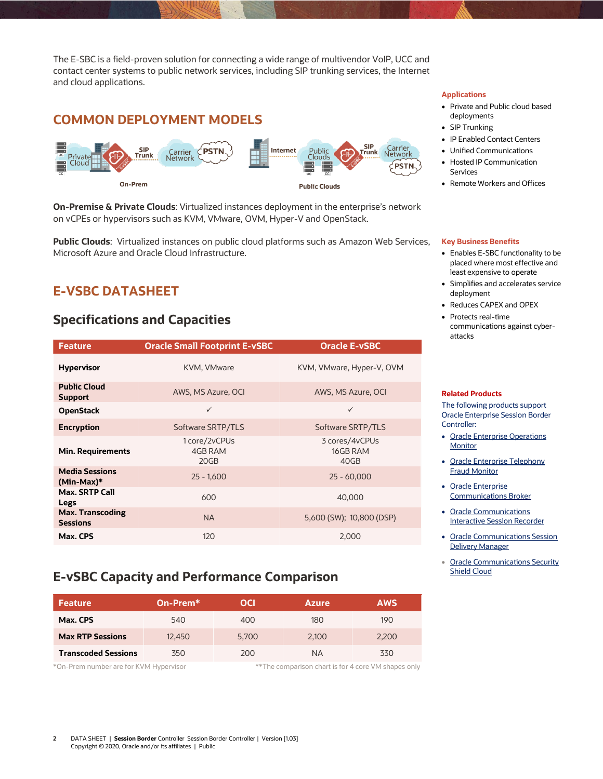The E-SBC is a field-proven solution for connecting a wide range of multivendor VoIP, UCC and contact center systems to public network services, including SIP trunking services, the Internet and cloud applications.

## **COMMON DEPLOYMENT MODELS**



**On-Premise & Private Clouds**: Virtualized instances deployment in the enterprise's network on vCPEs or hypervisors such as KVM, VMware, OVM, Hyper-V and OpenStack.

**Public Clouds**: Virtualized instances on public cloud platforms such as Amazon Web Services, Microsoft Azure and Oracle Cloud Infrastructure.

## **E-VSBC DATASHEET**

## **Specifications and Capacities**

| <b>Feature</b>                             | <b>Oracle Small Footprint E-vSBC</b> | <b>Oracle E-vSBC</b>               |  |
|--------------------------------------------|--------------------------------------|------------------------------------|--|
| <b>Hypervisor</b>                          | KVM, VMware                          | KVM, VMware, Hyper-V, OVM          |  |
| <b>Public Cloud</b><br><b>Support</b>      | AWS, MS Azure, OCI                   | AWS, MS Azure, OCI                 |  |
| <b>OpenStack</b>                           | $\checkmark$                         | $\checkmark$                       |  |
| <b>Encryption</b>                          | Software SRTP/TLS                    | Software SRTP/TLS                  |  |
| <b>Min. Requirements</b>                   | 1 core/2vCPUs<br>4GB RAM<br>20GB     | 3 cores/4vCPUs<br>16GB RAM<br>40GB |  |
| <b>Media Sessions</b><br>$(Min-Max)*$      | $25 - 1,600$                         | $25 - 60,000$                      |  |
| <b>Max. SRTP Call</b><br>Legs              | 600                                  | 40,000                             |  |
| <b>Max. Transcoding</b><br><b>Sessions</b> | <b>NA</b>                            | 5,600 (SW); 10,800 (DSP)           |  |
| Max. CPS                                   | 120                                  | 2,000                              |  |

## **E-vSBC Capacity and Performance Comparison**

| <b>Feature</b>             | ∣On-Prem* ∣ | OCI   | <b>Azure</b> | <b>AWS</b> |
|----------------------------|-------------|-------|--------------|------------|
| Max. CPS                   | 540         | 400   | 180          | 190        |
| <b>Max RTP Sessions</b>    | 12,450      | 5.700 | 2.100        | 2.200      |
| <b>Transcoded Sessions</b> | 350         | 200   | <b>NA</b>    | 330        |

\*On-Prem number are for KVM Hypervisor \*\*The comparison chart is for 4 core VM shapes only

#### **Applications**

- Private and Public cloud based deployments
- SIP Trunking
- IP Enabled Contact Centers
- Unified Communications
- Hosted IP Communication Services
- Remote Workers and Offices

#### **Key Business Benefits**

- Enables E-SBC functionality to be placed where most effective and least expensive to operate
- Simplifies and accelerates service deployment
- Reduces CAPEX and OPEX
- Protects real-time communications against cyberattacks

#### **Related Products**

The following products support Oracle Enterprise Session Border Controller:

- Oracle Enterprise Operations **[Monitor](https://www.oracle.com/industries/communications/products/enterprise-operations-monitor/)**
- Oracle Enterprise Telephony [Fraud Monitor](https://www.oracle.com/industries/communications/products/enterprise-fraud-monitor/)
- [Oracle Enterprise](https://www.oracle.com/industries/communications/enterprise-communications/products/communications-broker/)  [Communications Broker](https://www.oracle.com/industries/communications/enterprise-communications/products/communications-broker/)
- [Oracle Communications](https://www.oracle.com/industries/communications/products/interactive-session-recorder/)  [Interactive Session Recorder](https://www.oracle.com/industries/communications/products/interactive-session-recorder/)
- Oracle Communications Session [Delivery Manager](https://www.oracle.com/industries/communications/products/session-delivery-manager/)
- Oracle Communications Security [Shield Cloud](https://www.oracle.com/industries/communications/enterprise-communications/products/security-shield-cloud/)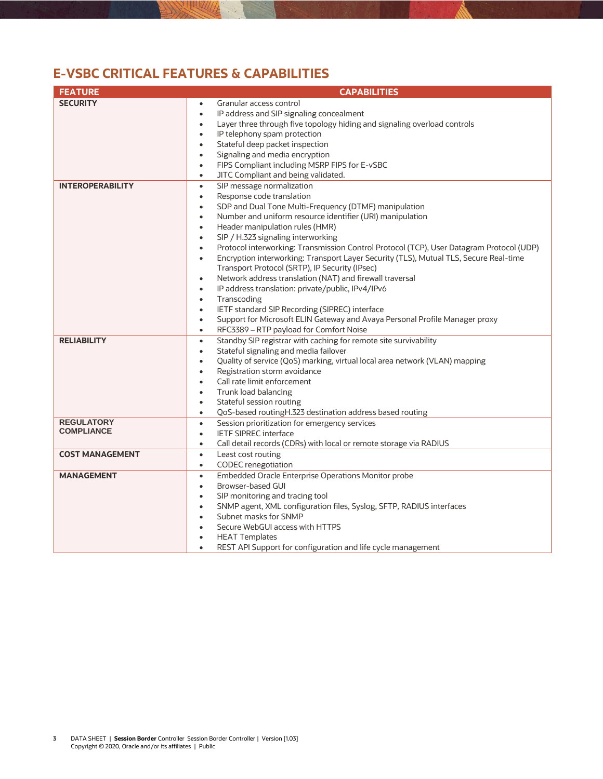## **E-VSBC CRITICAL FEATURES & CAPABILITIES**

| <b>FEATURE</b>          | <b>CAPABILITIES</b>                                                                                   |  |
|-------------------------|-------------------------------------------------------------------------------------------------------|--|
| <b>SECURITY</b>         | Granular access control<br>$\bullet$                                                                  |  |
|                         | IP address and SIP signaling concealment<br>$\bullet$                                                 |  |
|                         | Layer three through five topology hiding and signaling overload controls<br>$\bullet$                 |  |
|                         | IP telephony spam protection<br>$\bullet$                                                             |  |
|                         | Stateful deep packet inspection<br>$\bullet$                                                          |  |
|                         | Signaling and media encryption<br>$\bullet$                                                           |  |
|                         | FIPS Compliant including MSRP FIPS for E-vSBC<br>$\bullet$                                            |  |
|                         | JITC Compliant and being validated.<br>$\bullet$                                                      |  |
| <b>INTEROPERABILITY</b> | SIP message normalization<br>$\bullet$                                                                |  |
|                         | Response code translation<br>$\bullet$                                                                |  |
|                         | SDP and Dual Tone Multi-Frequency (DTMF) manipulation<br>$\bullet$                                    |  |
|                         | Number and uniform resource identifier (URI) manipulation<br>$\bullet$                                |  |
|                         | Header manipulation rules (HMR)<br>$\bullet$                                                          |  |
|                         | SIP / H.323 signaling interworking<br>$\bullet$                                                       |  |
|                         | Protocol interworking: Transmission Control Protocol (TCP), User Datagram Protocol (UDP)<br>$\bullet$ |  |
|                         | Encryption interworking: Transport Layer Security (TLS), Mutual TLS, Secure Real-time<br>$\bullet$    |  |
|                         | Transport Protocol (SRTP), IP Security (IPsec)                                                        |  |
|                         | Network address translation (NAT) and firewall traversal<br>$\bullet$                                 |  |
|                         | IP address translation: private/public, IPv4/IPv6<br>$\bullet$                                        |  |
|                         | Transcoding<br>$\bullet$                                                                              |  |
|                         | IETF standard SIP Recording (SIPREC) interface<br>$\bullet$                                           |  |
|                         | Support for Microsoft ELIN Gateway and Avaya Personal Profile Manager proxy<br>$\bullet$              |  |
|                         | RFC3389 - RTP payload for Comfort Noise<br>$\bullet$                                                  |  |
| <b>RELIABILITY</b>      | Standby SIP registrar with caching for remote site survivability<br>$\bullet$                         |  |
|                         | Stateful signaling and media failover<br>$\bullet$                                                    |  |
|                         | Quality of service (QoS) marking, virtual local area network (VLAN) mapping<br>$\bullet$              |  |
|                         | Registration storm avoidance<br>$\bullet$                                                             |  |
|                         | Call rate limit enforcement<br>$\bullet$                                                              |  |
|                         | Trunk load balancing<br>$\bullet$                                                                     |  |
|                         | Stateful session routing<br>$\bullet$                                                                 |  |
|                         | QoS-based routingH.323 destination address based routing<br>$\bullet$                                 |  |
| <b>REGULATORY</b>       | Session prioritization for emergency services<br>$\bullet$                                            |  |
| <b>COMPLIANCE</b>       | <b>IETF SIPREC interface</b><br>$\bullet$                                                             |  |
|                         | Call detail records (CDRs) with local or remote storage via RADIUS<br>$\bullet$                       |  |
| <b>COST MANAGEMENT</b>  | Least cost routing<br>$\bullet$                                                                       |  |
|                         | <b>CODEC</b> renegotiation<br>$\bullet$                                                               |  |
| <b>MANAGEMENT</b>       | Embedded Oracle Enterprise Operations Monitor probe<br>$\bullet$                                      |  |
|                         | Browser-based GUI<br>$\bullet$                                                                        |  |
|                         | SIP monitoring and tracing tool<br>$\bullet$                                                          |  |
|                         | SNMP agent, XML configuration files, Syslog, SFTP, RADIUS interfaces<br>$\bullet$                     |  |
|                         | Subnet masks for SNMP<br>$\bullet$                                                                    |  |
|                         | Secure WebGUI access with HTTPS<br>$\bullet$                                                          |  |
|                         | <b>HEAT Templates</b><br>$\bullet$                                                                    |  |
|                         | REST API Support for configuration and life cycle management                                          |  |